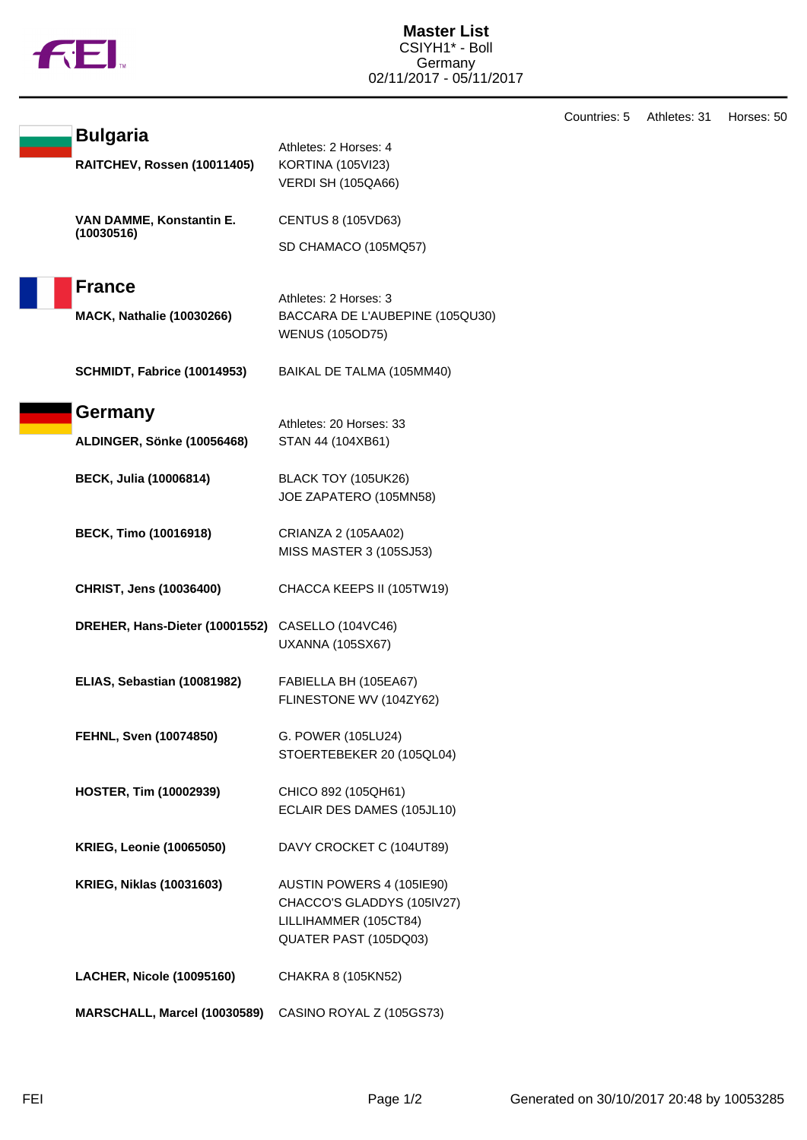

|  |                                                  |                                                          | Countries: 5 | Athletes: 31 | Horses: 50 |
|--|--------------------------------------------------|----------------------------------------------------------|--------------|--------------|------------|
|  | <b>Bulgaria</b>                                  | Athletes: 2 Horses: 4                                    |              |              |            |
|  | RAITCHEV, Rossen (10011405)                      | <b>KORTINA (105VI23)</b>                                 |              |              |            |
|  |                                                  | <b>VERDI SH (105QA66)</b>                                |              |              |            |
|  | VAN DAMME, Konstantin E.<br>(10030516)           | <b>CENTUS 8 (105VD63)</b>                                |              |              |            |
|  |                                                  | SD CHAMACO (105MQ57)                                     |              |              |            |
|  | <b>France</b>                                    |                                                          |              |              |            |
|  |                                                  | Athletes: 2 Horses: 3<br>BACCARA DE L'AUBEPINE (105QU30) |              |              |            |
|  | <b>MACK, Nathalie (10030266)</b>                 | <b>WENUS (105OD75)</b>                                   |              |              |            |
|  | <b>SCHMIDT, Fabrice (10014953)</b>               | BAIKAL DE TALMA (105MM40)                                |              |              |            |
|  | Germany                                          |                                                          |              |              |            |
|  | ALDINGER, Sönke (10056468)                       | Athletes: 20 Horses: 33<br>STAN 44 (104XB61)             |              |              |            |
|  |                                                  |                                                          |              |              |            |
|  | <b>BECK, Julia (10006814)</b>                    | BLACK TOY (105UK26)                                      |              |              |            |
|  |                                                  | JOE ZAPATERO (105MN58)                                   |              |              |            |
|  |                                                  |                                                          |              |              |            |
|  | <b>BECK, Timo (10016918)</b>                     | CRIANZA 2 (105AA02)                                      |              |              |            |
|  |                                                  | MISS MASTER 3 (105SJ53)                                  |              |              |            |
|  | <b>CHRIST, Jens (10036400)</b>                   | CHACCA KEEPS II (105TW19)                                |              |              |            |
|  | DREHER, Hans-Dieter (10001552) CASELLO (104VC46) |                                                          |              |              |            |
|  |                                                  | <b>UXANNA (105SX67)</b>                                  |              |              |            |
|  |                                                  |                                                          |              |              |            |
|  | ELIAS, Sebastian (10081982)                      | FABIELLA BH (105EA67)                                    |              |              |            |
|  |                                                  | FLINESTONE WV (104ZY62)                                  |              |              |            |
|  | FEHNL, Sven (10074850)                           | G. POWER (105LU24)                                       |              |              |            |
|  |                                                  | STOERTEBEKER 20 (105QL04)                                |              |              |            |
|  | <b>HOSTER, Tim (10002939)</b>                    | CHICO 892 (105QH61)                                      |              |              |            |
|  |                                                  | ECLAIR DES DAMES (105JL10)                               |              |              |            |
|  |                                                  |                                                          |              |              |            |
|  | <b>KRIEG, Leonie (10065050)</b>                  | DAVY CROCKET C (104UT89)                                 |              |              |            |
|  | <b>KRIEG, Niklas (10031603)</b>                  | AUSTIN POWERS 4 (105IE90)                                |              |              |            |
|  |                                                  | CHACCO'S GLADDYS (105IV27)                               |              |              |            |
|  |                                                  | LILLIHAMMER (105CT84)                                    |              |              |            |
|  |                                                  | QUATER PAST (105DQ03)                                    |              |              |            |
|  | <b>LACHER, Nicole (10095160)</b>                 | CHAKRA 8 (105KN52)                                       |              |              |            |
|  | MARSCHALL, Marcel (10030589)                     | CASINO ROYAL Z (105GS73)                                 |              |              |            |